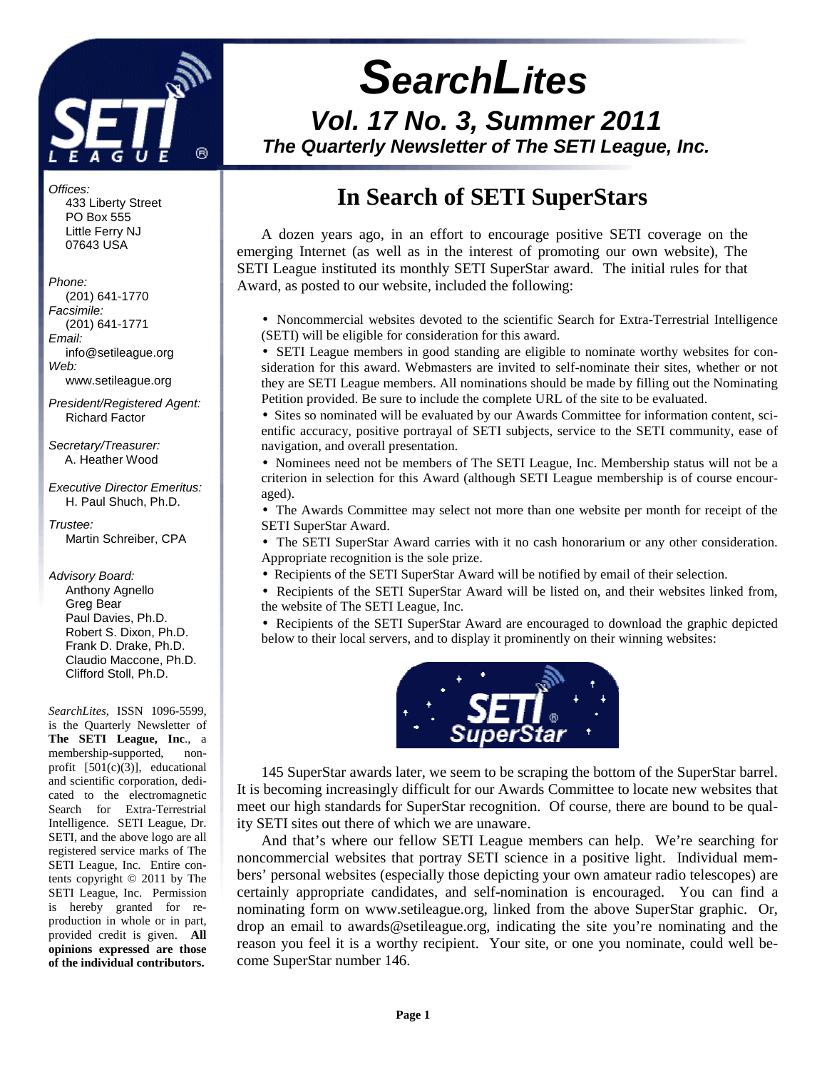

# **SearchLites Vol. 17 No. 3, Summer 2011 The Quarterly Newsletter of The SETI League, Inc.**

# **In Search of SETI SuperStars**

A dozen years ago, in an effort to encourage positive SETI coverage on the emerging Internet (as well as in the interest of promoting our own website), The SETI League instituted its monthly SETI SuperStar award. The initial rules for that Award, as posted to our website, included the following:

• Noncommercial websites devoted to the scientific Search for Extra-Terrestrial Intelligence (SETI) will be eligible for consideration for this award.

• SETI League members in good standing are eligible to nominate worthy websites for consideration for this award. Webmasters are invited to self-nominate their sites, whether or not they are SETI League members. All nominations should be made by filling out the Nominating Petition provided. Be sure to include the complete URL of the site to be evaluated.

• Sites so nominated will be evaluated by our Awards Committee for information content, scientific accuracy, positive portrayal of SETI subjects, service to the SETI community, ease of navigation, and overall presentation.

• Nominees need not be members of The SETI League, Inc. Membership status will not be a criterion in selection for this Award (although SETI League membership is of course encouraged).

• The Awards Committee may select not more than one website per month for receipt of the SETI SuperStar Award.

• The SETI SuperStar Award carries with it no cash honorarium or any other consideration. Appropriate recognition is the sole prize.

- Recipients of the SETI SuperStar Award will be notified by email of their selection.
- Recipients of the SETI SuperStar Award will be listed on, and their websites linked from, the website of The SETI League, Inc.

• Recipients of the SETI SuperStar Award are encouraged to download the graphic depicted below to their local servers, and to display it prominently on their winning websites:



145 SuperStar awards later, we seem to be scraping the bottom of the SuperStar barrel. It is becoming increasingly difficult for our Awards Committee to locate new websites that meet our high standards for SuperStar recognition. Of course, there are bound to be quality SETI sites out there of which we are unaware.

And that's where our fellow SETI League members can help. We're searching for noncommercial websites that portray SETI science in a positive light. Individual members' personal websites (especially those depicting your own amateur radio telescopes) are certainly appropriate candidates, and self-nomination is encouraged. You can find a nominating form on www.setileague.org, linked from the above SuperStar graphic. Or, drop an email to awards@setileague.org, indicating the site you're nominating and the reason you feel it is a worthy recipient. Your site, or one you nominate, could well become SuperStar number 146.

#### Offices:

 433 Liberty Street PO Box 555 Little Ferry NJ 07643 USA

#### Phone:

 (201) 641-1770 Facsimile: (201) 641-1771 Email: info@setileague.org Web:

www.setileague.org

President/Registered Agent: Richard Factor

Secretary/Treasurer: A. Heather Wood

Executive Director Emeritus: H. Paul Shuch, Ph.D.

Trustee: Martin Schreiber, CPA

Advisory Board: Anthony Agnello Greg Bear Paul Davies, Ph.D. Robert S. Dixon, Ph.D. Frank D. Drake, Ph.D. Claudio Maccone, Ph.D. Clifford Stoll, Ph.D.

*SearchLites*, ISSN 1096-5599, is the Quarterly Newsletter of **The SETI League, Inc**., a membership-supported, nonprofit [501(c)(3)], educational and scientific corporation, dedicated to the electromagnetic Search for Extra-Terrestrial Intelligence. SETI League, Dr. SETI, and the above logo are all registered service marks of The SETI League, Inc. Entire contents copyright © 2011 by The SETI League, Inc. Permission is hereby granted for reproduction in whole or in part, provided credit is given. **All opinions expressed are those of the individual contributors.**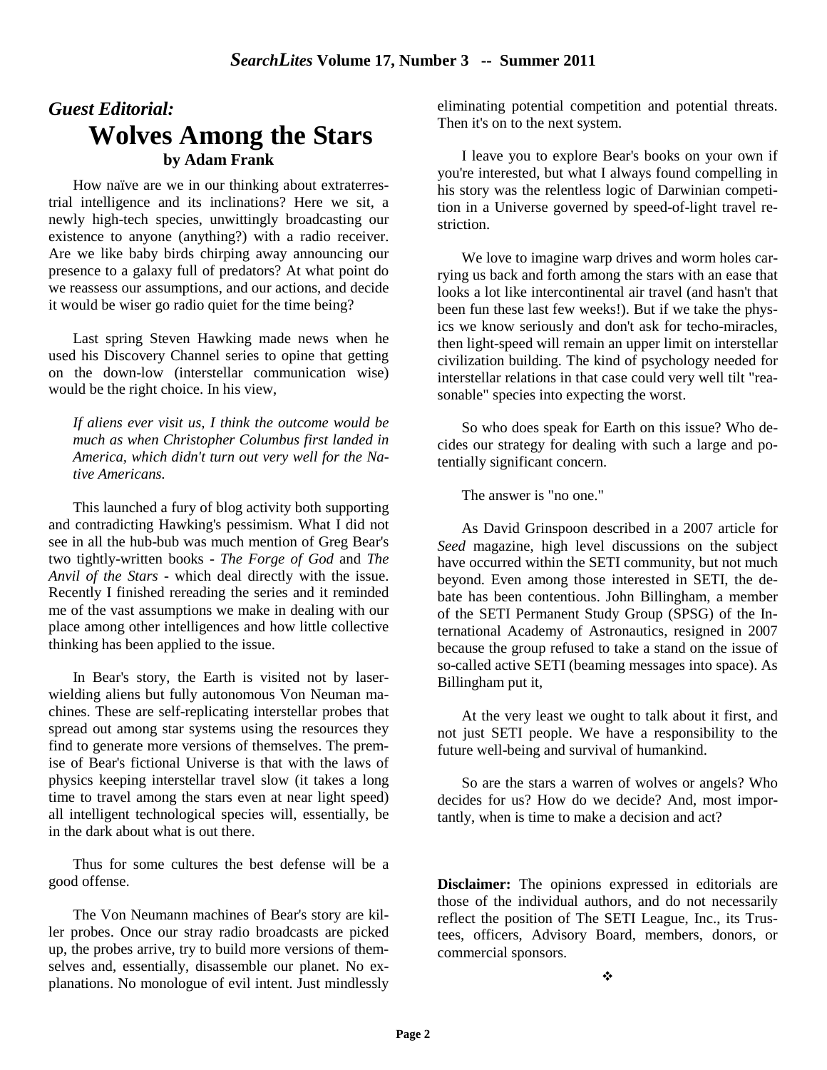# *Guest Editorial:* **Wolves Among the Stars by Adam Frank**

How naïve are we in our thinking about extraterrestrial intelligence and its inclinations? Here we sit, a newly high-tech species, unwittingly broadcasting our existence to anyone (anything?) with a radio receiver. Are we like baby birds chirping away announcing our presence to a galaxy full of predators? At what point do we reassess our assumptions, and our actions, and decide it would be wiser go radio quiet for the time being?

Last spring Steven Hawking made news when he used his Discovery Channel series to opine that getting on the down-low (interstellar communication wise) would be the right choice. In his view,

*If aliens ever visit us, I think the outcome would be much as when Christopher Columbus first landed in America, which didn't turn out very well for the Native Americans.* 

This launched a fury of blog activity both supporting and contradicting Hawking's pessimism. What I did not see in all the hub-bub was much mention of Greg Bear's two tightly-written books - *The Forge of God* and *The Anvil of the Stars* - which deal directly with the issue. Recently I finished rereading the series and it reminded me of the vast assumptions we make in dealing with our place among other intelligences and how little collective thinking has been applied to the issue.

In Bear's story, the Earth is visited not by laserwielding aliens but fully autonomous Von Neuman machines. These are self-replicating interstellar probes that spread out among star systems using the resources they find to generate more versions of themselves. The premise of Bear's fictional Universe is that with the laws of physics keeping interstellar travel slow (it takes a long time to travel among the stars even at near light speed) all intelligent technological species will, essentially, be in the dark about what is out there.

Thus for some cultures the best defense will be a good offense.

The Von Neumann machines of Bear's story are killer probes. Once our stray radio broadcasts are picked up, the probes arrive, try to build more versions of themselves and, essentially, disassemble our planet. No explanations. No monologue of evil intent. Just mindlessly eliminating potential competition and potential threats. Then it's on to the next system.

I leave you to explore Bear's books on your own if you're interested, but what I always found compelling in his story was the relentless logic of Darwinian competition in a Universe governed by speed-of-light travel restriction.

We love to imagine warp drives and worm holes carrying us back and forth among the stars with an ease that looks a lot like intercontinental air travel (and hasn't that been fun these last few weeks!). But if we take the physics we know seriously and don't ask for techo-miracles, then light-speed will remain an upper limit on interstellar civilization building. The kind of psychology needed for interstellar relations in that case could very well tilt "reasonable" species into expecting the worst.

So who does speak for Earth on this issue? Who decides our strategy for dealing with such a large and potentially significant concern.

The answer is "no one."

As David Grinspoon described in a 2007 article for *Seed* magazine, high level discussions on the subject have occurred within the SETI community, but not much beyond. Even among those interested in SETI, the debate has been contentious. John Billingham, a member of the SETI Permanent Study Group (SPSG) of the International Academy of Astronautics, resigned in 2007 because the group refused to take a stand on the issue of so-called active SETI (beaming messages into space). As Billingham put it,

At the very least we ought to talk about it first, and not just SETI people. We have a responsibility to the future well-being and survival of humankind.

So are the stars a warren of wolves or angels? Who decides for us? How do we decide? And, most importantly, when is time to make a decision and act?

**Disclaimer:** The opinions expressed in editorials are those of the individual authors, and do not necessarily reflect the position of The SETI League, Inc., its Trustees, officers, Advisory Board, members, donors, or commercial sponsors.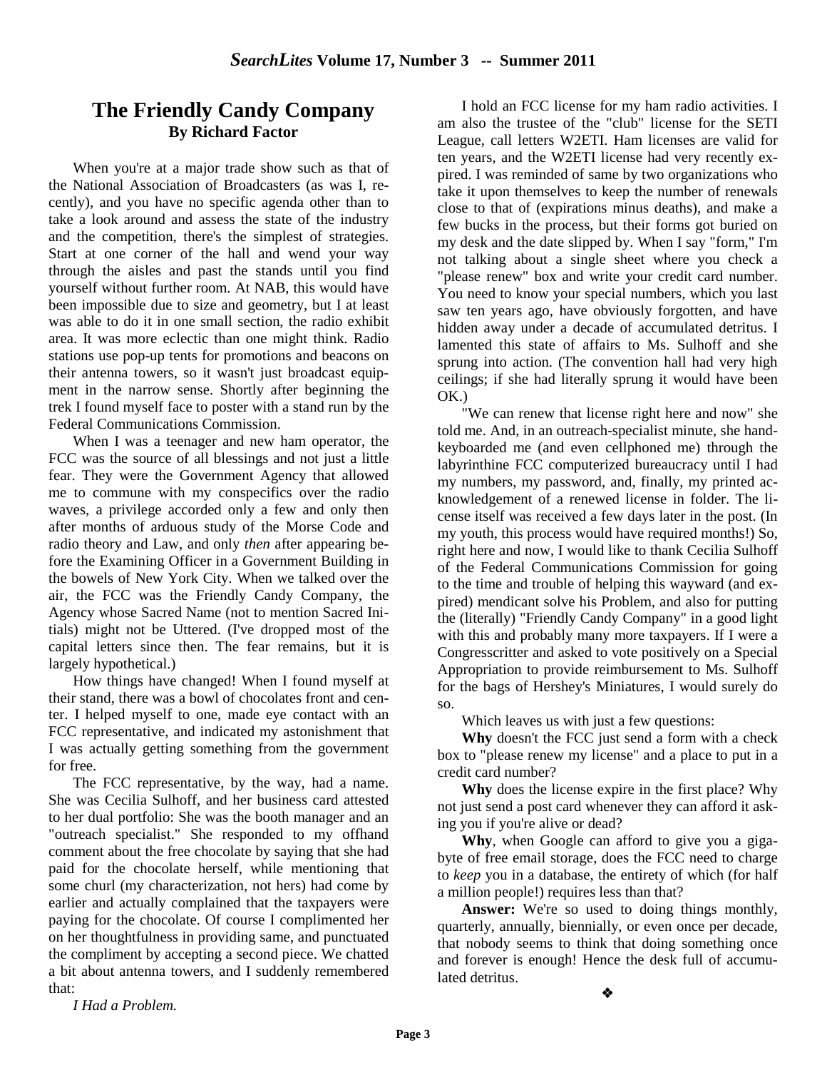### **The Friendly Candy Company By Richard Factor**

When you're at a major trade show such as that of the National Association of Broadcasters (as was I, recently), and you have no specific agenda other than to take a look around and assess the state of the industry and the competition, there's the simplest of strategies. Start at one corner of the hall and wend your way through the aisles and past the stands until you find yourself without further room. At NAB, this would have been impossible due to size and geometry, but I at least was able to do it in one small section, the radio exhibit area. It was more eclectic than one might think. Radio stations use pop-up tents for promotions and beacons on their antenna towers, so it wasn't just broadcast equipment in the narrow sense. Shortly after beginning the trek I found myself face to poster with a stand run by the Federal Communications Commission.

When I was a teenager and new ham operator, the FCC was the source of all blessings and not just a little fear. They were the Government Agency that allowed me to commune with my conspecifics over the radio waves, a privilege accorded only a few and only then after months of arduous study of the Morse Code and radio theory and Law, and only *then* after appearing before the Examining Officer in a Government Building in the bowels of New York City. When we talked over the air, the FCC was the Friendly Candy Company, the Agency whose Sacred Name (not to mention Sacred Initials) might not be Uttered. (I've dropped most of the capital letters since then. The fear remains, but it is largely hypothetical.)

How things have changed! When I found myself at their stand, there was a bowl of chocolates front and center. I helped myself to one, made eye contact with an FCC representative, and indicated my astonishment that I was actually getting something from the government for free.

The FCC representative, by the way, had a name. She was Cecilia Sulhoff, and her business card attested to her dual portfolio: She was the booth manager and an "outreach specialist." She responded to my offhand comment about the free chocolate by saying that she had paid for the chocolate herself, while mentioning that some churl (my characterization, not hers) had come by earlier and actually complained that the taxpayers were paying for the chocolate. Of course I complimented her on her thoughtfulness in providing same, and punctuated the compliment by accepting a second piece. We chatted a bit about antenna towers, and I suddenly remembered that:

I hold an FCC license for my ham radio activities. I am also the trustee of the "club" license for the SETI League, call letters W2ETI. Ham licenses are valid for ten years, and the W2ETI license had very recently expired. I was reminded of same by two organizations who take it upon themselves to keep the number of renewals close to that of (expirations minus deaths), and make a few bucks in the process, but their forms got buried on my desk and the date slipped by. When I say "form," I'm not talking about a single sheet where you check a "please renew" box and write your credit card number. You need to know your special numbers, which you last saw ten years ago, have obviously forgotten, and have hidden away under a decade of accumulated detritus. I lamented this state of affairs to Ms. Sulhoff and she sprung into action. (The convention hall had very high ceilings; if she had literally sprung it would have been OK.)

"We can renew that license right here and now" she told me. And, in an outreach-specialist minute, she handkeyboarded me (and even cellphoned me) through the labyrinthine FCC computerized bureaucracy until I had my numbers, my password, and, finally, my printed acknowledgement of a renewed license in folder. The license itself was received a few days later in the post. (In my youth, this process would have required months!) So, right here and now, I would like to thank Cecilia Sulhoff of the Federal Communications Commission for going to the time and trouble of helping this wayward (and expired) mendicant solve his Problem, and also for putting the (literally) "Friendly Candy Company" in a good light with this and probably many more taxpayers. If I were a Congresscritter and asked to vote positively on a Special Appropriation to provide reimbursement to Ms. Sulhoff for the bags of Hershey's Miniatures, I would surely do so.

Which leaves us with just a few questions:

**Why** doesn't the FCC just send a form with a check box to "please renew my license" and a place to put in a credit card number?

**Why** does the license expire in the first place? Why not just send a post card whenever they can afford it asking you if you're alive or dead?

**Why**, when Google can afford to give you a gigabyte of free email storage, does the FCC need to charge to *keep* you in a database, the entirety of which (for half a million people!) requires less than that?

Answer: We're so used to doing things monthly, quarterly, annually, biennially, or even once per decade, that nobody seems to think that doing something once and forever is enough! Hence the desk full of accumulated detritus.

*I Had a Problem.*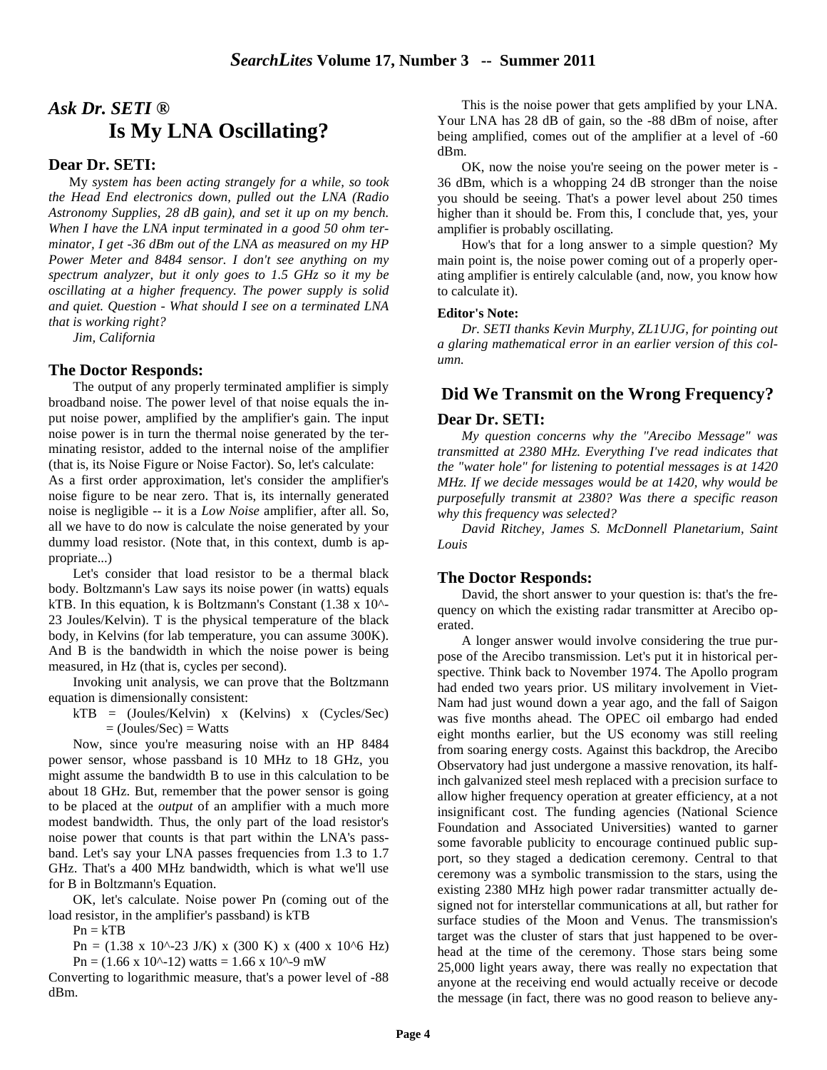# *Ask Dr. SETI ®*  **Is My LNA Oscillating?**

#### **Dear Dr. SETI:**

 My *system has been acting strangely for a while, so took the Head End electronics down, pulled out the LNA (Radio Astronomy Supplies, 28 dB gain), and set it up on my bench. When I have the LNA input terminated in a good 50 ohm terminator, I get -36 dBm out of the LNA as measured on my HP Power Meter and 8484 sensor. I don't see anything on my spectrum analyzer, but it only goes to 1.5 GHz so it my be oscillating at a higher frequency. The power supply is solid and quiet. Question - What should I see on a terminated LNA that is working right?* 

*Jim, California* 

#### **The Doctor Responds:**

The output of any properly terminated amplifier is simply broadband noise. The power level of that noise equals the input noise power, amplified by the amplifier's gain. The input noise power is in turn the thermal noise generated by the terminating resistor, added to the internal noise of the amplifier (that is, its Noise Figure or Noise Factor). So, let's calculate:

As a first order approximation, let's consider the amplifier's noise figure to be near zero. That is, its internally generated noise is negligible -- it is a *Low Noise* amplifier, after all. So, all we have to do now is calculate the noise generated by your dummy load resistor. (Note that, in this context, dumb is appropriate...)

Let's consider that load resistor to be a thermal black body. Boltzmann's Law says its noise power (in watts) equals kTB. In this equation, k is Boltzmann's Constant (1.38 x 10^- 23 Joules/Kelvin). T is the physical temperature of the black body, in Kelvins (for lab temperature, you can assume 300K). And B is the bandwidth in which the noise power is being measured, in Hz (that is, cycles per second).

Invoking unit analysis, we can prove that the Boltzmann equation is dimensionally consistent:

 $kTB = (Joules/Kelvin)$  x  $(Kelvins)$  x  $(Cycles/Sec)$  $=$  (Joules/Sec)  $=$  Watts

Now, since you're measuring noise with an HP 8484 power sensor, whose passband is 10 MHz to 18 GHz, you might assume the bandwidth B to use in this calculation to be about 18 GHz. But, remember that the power sensor is going to be placed at the *output* of an amplifier with a much more modest bandwidth. Thus, the only part of the load resistor's noise power that counts is that part within the LNA's passband. Let's say your LNA passes frequencies from 1.3 to 1.7 GHz. That's a 400 MHz bandwidth, which is what we'll use for B in Boltzmann's Equation.

OK, let's calculate. Noise power Pn (coming out of the load resistor, in the amplifier's passband) is kTB

 $Pn = kTB$ 

Pn = (1.38 x 10^-23 J/K) x (300 K) x (400 x 10^6 Hz)  $Pn = (1.66 \times 10^{(-12)})$  watts = 1.66 x 10<sup> $(-9)$ </sup> mW

Converting to logarithmic measure, that's a power level of -88 dBm.

This is the noise power that gets amplified by your LNA. Your LNA has 28 dB of gain, so the -88 dBm of noise, after being amplified, comes out of the amplifier at a level of -60 dBm.

OK, now the noise you're seeing on the power meter is - 36 dBm, which is a whopping 24 dB stronger than the noise you should be seeing. That's a power level about 250 times higher than it should be. From this, I conclude that, yes, your amplifier is probably oscillating.

How's that for a long answer to a simple question? My main point is, the noise power coming out of a properly operating amplifier is entirely calculable (and, now, you know how to calculate it).

#### **Editor's Note:**

*Dr. SETI thanks Kevin Murphy, ZL1UJG, for pointing out a glaring mathematical error in an earlier version of this column.* 

#### **Did We Transmit on the Wrong Frequency?**

#### **Dear Dr. SETI:**

*My question concerns why the "Arecibo Message" was transmitted at 2380 MHz. Everything I've read indicates that the "water hole" for listening to potential messages is at 1420 MHz. If we decide messages would be at 1420, why would be purposefully transmit at 2380? Was there a specific reason why this frequency was selected?* 

*David Ritchey, James S. McDonnell Planetarium, Saint Louis*

#### **The Doctor Responds:**

David, the short answer to your question is: that's the frequency on which the existing radar transmitter at Arecibo operated.

A longer answer would involve considering the true purpose of the Arecibo transmission. Let's put it in historical perspective. Think back to November 1974. The Apollo program had ended two years prior. US military involvement in Viet-Nam had just wound down a year ago, and the fall of Saigon was five months ahead. The OPEC oil embargo had ended eight months earlier, but the US economy was still reeling from soaring energy costs. Against this backdrop, the Arecibo Observatory had just undergone a massive renovation, its halfinch galvanized steel mesh replaced with a precision surface to allow higher frequency operation at greater efficiency, at a not insignificant cost. The funding agencies (National Science Foundation and Associated Universities) wanted to garner some favorable publicity to encourage continued public support, so they staged a dedication ceremony. Central to that ceremony was a symbolic transmission to the stars, using the existing 2380 MHz high power radar transmitter actually designed not for interstellar communications at all, but rather for surface studies of the Moon and Venus. The transmission's target was the cluster of stars that just happened to be overhead at the time of the ceremony. Those stars being some 25,000 light years away, there was really no expectation that anyone at the receiving end would actually receive or decode the message (in fact, there was no good reason to believe any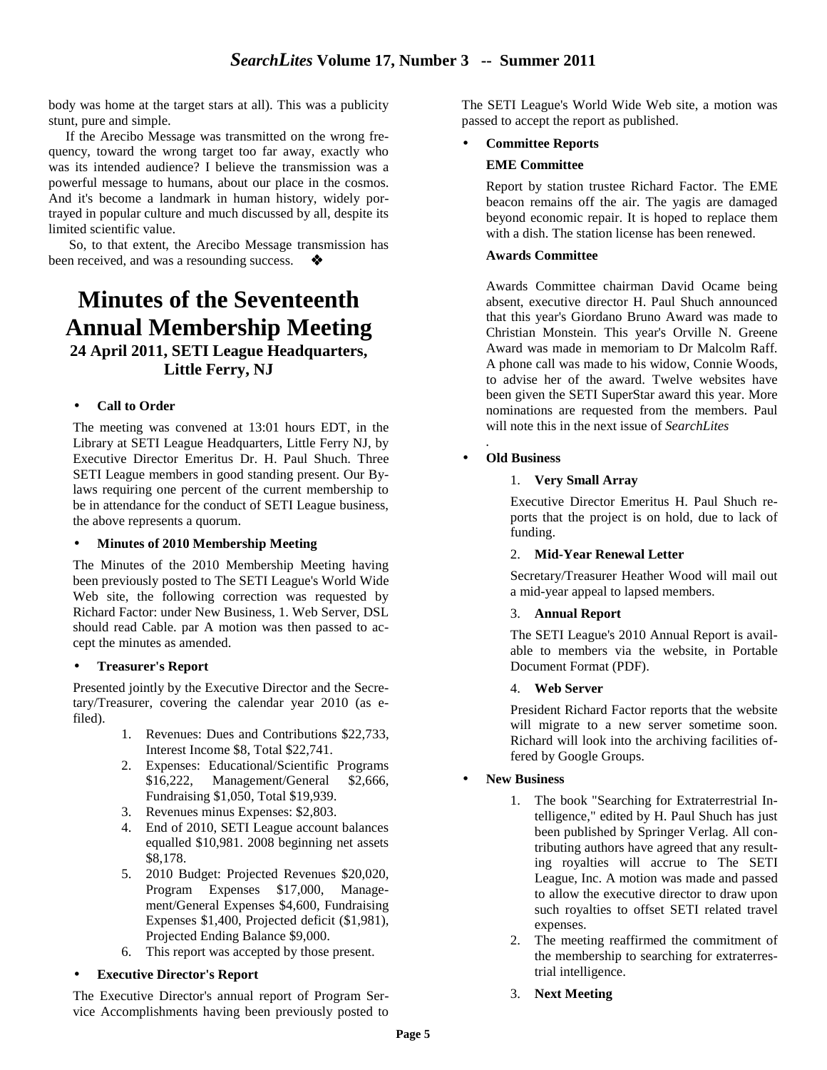body was home at the target stars at all). This was a publicity stunt, pure and simple.

 If the Arecibo Message was transmitted on the wrong frequency, toward the wrong target too far away, exactly who was its intended audience? I believe the transmission was a powerful message to humans, about our place in the cosmos. And it's become a landmark in human history, widely portrayed in popular culture and much discussed by all, despite its limited scientific value.

 So, to that extent, the Arecibo Message transmission has been received, and was a resounding success.

# **Minutes of the Seventeenth Annual Membership Meeting 24 April 2011, SETI League Headquarters, Little Ferry, NJ**

#### • **Call to Order**

The meeting was convened at 13:01 hours EDT, in the Library at SETI League Headquarters, Little Ferry NJ, by Executive Director Emeritus Dr. H. Paul Shuch. Three SETI League members in good standing present. Our Bylaws requiring one percent of the current membership to be in attendance for the conduct of SETI League business, the above represents a quorum.

#### • **Minutes of 2010 Membership Meeting**

The Minutes of the 2010 Membership Meeting having been previously posted to The SETI League's World Wide Web site, the following correction was requested by Richard Factor: under New Business, 1. Web Server, DSL should read Cable. par A motion was then passed to accept the minutes as amended.

#### • **Treasurer's Report**

Presented jointly by the Executive Director and the Secretary/Treasurer, covering the calendar year 2010 (as efiled).

- 1. Revenues: Dues and Contributions \$22,733, Interest Income \$8, Total \$22,741.
- 2. Expenses: Educational/Scientific Programs \$16,222, Management/General \$2,666, Fundraising \$1,050, Total \$19,939.
- 3. Revenues minus Expenses: \$2,803.
- 4. End of 2010, SETI League account balances equalled \$10,981. 2008 beginning net assets \$8,178.
- 5. 2010 Budget: Projected Revenues \$20,020, Program Expenses \$17,000, Management/General Expenses \$4,600, Fundraising Expenses \$1,400, Projected deficit (\$1,981), Projected Ending Balance \$9,000.
- 6. This report was accepted by those present.

#### • **Executive Director's Report**

The Executive Director's annual report of Program Service Accomplishments having been previously posted to

The SETI League's World Wide Web site, a motion was passed to accept the report as published.

#### • **Committee Reports**

#### **EME Committee**

Report by station trustee Richard Factor. The EME beacon remains off the air. The yagis are damaged beyond economic repair. It is hoped to replace them with a dish. The station license has been renewed.

#### **Awards Committee**

Awards Committee chairman David Ocame being absent, executive director H. Paul Shuch announced that this year's Giordano Bruno Award was made to Christian Monstein. This year's Orville N. Greene Award was made in memoriam to Dr Malcolm Raff. A phone call was made to his widow, Connie Woods, to advise her of the award. Twelve websites have been given the SETI SuperStar award this year. More nominations are requested from the members. Paul will note this in the next issue of *SearchLites* 

#### • **Old Business**

*.*

#### 1. **Very Small Array**

Executive Director Emeritus H. Paul Shuch reports that the project is on hold, due to lack of funding.

#### 2. **Mid-Year Renewal Letter**

Secretary/Treasurer Heather Wood will mail out a mid-year appeal to lapsed members.

#### 3. **Annual Report**

The SETI League's 2010 Annual Report is available to members via the website, in Portable Document Format (PDF).

#### 4. **Web Server**

President Richard Factor reports that the website will migrate to a new server sometime soon. Richard will look into the archiving facilities offered by Google Groups.

#### • **New Business**

- 1. The book "Searching for Extraterrestrial Intelligence," edited by H. Paul Shuch has just been published by Springer Verlag. All contributing authors have agreed that any resulting royalties will accrue to The SETI League, Inc. A motion was made and passed to allow the executive director to draw upon such royalties to offset SETI related travel expenses.
- 2. The meeting reaffirmed the commitment of the membership to searching for extraterrestrial intelligence.
- 3. **Next Meeting**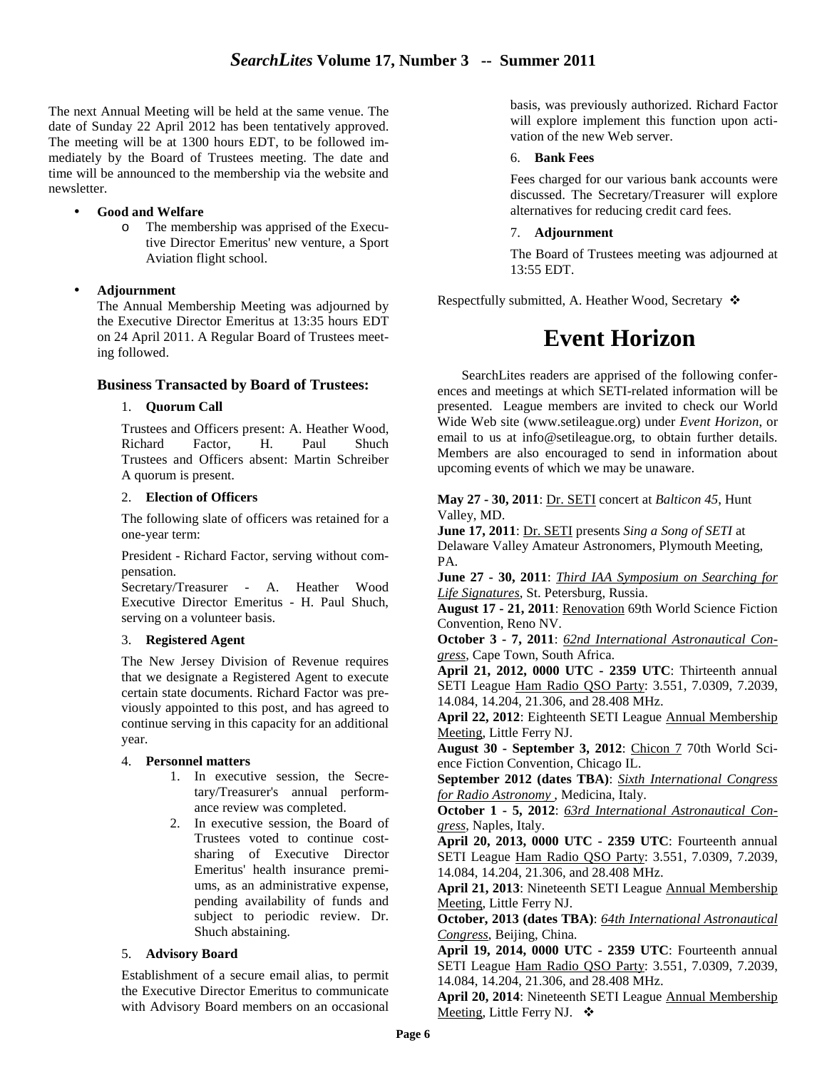The next Annual Meeting will be held at the same venue. The date of Sunday 22 April 2012 has been tentatively approved. The meeting will be at 1300 hours EDT, to be followed immediately by the Board of Trustees meeting. The date and time will be announced to the membership via the website and newsletter.

#### • **Good and Welfare**

o The membership was apprised of the Executive Director Emeritus' new venture, a Sport Aviation flight school.

#### • **Adjournment**

The Annual Membership Meeting was adjourned by the Executive Director Emeritus at 13:35 hours EDT on 24 April 2011. A Regular Board of Trustees meeting followed.

#### **Business Transacted by Board of Trustees:**

#### 1. **Quorum Call**

Trustees and Officers present: A. Heather Wood, Richard Factor, H. Paul Shuch Trustees and Officers absent: Martin Schreiber A quorum is present.

#### 2. **Election of Officers**

The following slate of officers was retained for a one-year term:

President - Richard Factor, serving without compensation.

Secretary/Treasurer - A. Heather Wood Executive Director Emeritus - H. Paul Shuch, serving on a volunteer basis.

#### 3. **Registered Agent**

The New Jersey Division of Revenue requires that we designate a Registered Agent to execute certain state documents. Richard Factor was previously appointed to this post, and has agreed to continue serving in this capacity for an additional year.

#### 4. **Personnel matters**

- 1. In executive session, the Secretary/Treasurer's annual performance review was completed.
- 2. In executive session, the Board of Trustees voted to continue costsharing of Executive Director Emeritus' health insurance premiums, as an administrative expense, pending availability of funds and subject to periodic review. Dr. Shuch abstaining.

#### 5. **Advisory Board**

Establishment of a secure email alias, to permit the Executive Director Emeritus to communicate with Advisory Board members on an occasional basis, was previously authorized. Richard Factor will explore implement this function upon activation of the new Web server.

#### 6. **Bank Fees**

Fees charged for our various bank accounts were discussed. The Secretary/Treasurer will explore alternatives for reducing credit card fees.

#### 7. **Adjournment**

The Board of Trustees meeting was adjourned at 13:55 EDT.

Respectfully submitted, A. Heather Wood, Secretary  $\cdot$ 

# **Event Horizon**

SearchLites readers are apprised of the following conferences and meetings at which SETI-related information will be presented. League members are invited to check our World Wide Web site (www.setileague.org) under *Event Horizon*, or email to us at info@setileague.org, to obtain further details. Members are also encouraged to send in information about upcoming events of which we may be unaware.

**May 27 - 30, 2011**: Dr. SETI concert at *Balticon 45*, Hunt Valley, MD.

**June 17, 2011**: Dr. SETI presents *Sing a Song of SETI* at Delaware Valley Amateur Astronomers, Plymouth Meeting, PA.

**June 27 - 30, 2011**: *Third IAA Symposium on Searching for Life Signatures*, St. Petersburg, Russia.

**August 17 - 21, 2011**: Renovation 69th World Science Fiction Convention, Reno NV.

**October 3 - 7, 2011**: *62nd International Astronautical Congress*, Cape Town, South Africa.

**April 21, 2012, 0000 UTC - 2359 UTC**: Thirteenth annual SETI League Ham Radio QSO Party: 3.551, 7.0309, 7.2039, 14.084, 14.204, 21.306, and 28.408 MHz.

**April 22, 2012**: Eighteenth SETI League Annual Membership Meeting, Little Ferry NJ.

**August 30 - September 3, 2012**: Chicon 7 70th World Science Fiction Convention, Chicago IL.

**September 2012 (dates TBA)**: *Sixth International Congress for Radio Astronomy* , Medicina, Italy.

**October 1 - 5, 2012**: *63rd International Astronautical Congress*, Naples, Italy.

**April 20, 2013, 0000 UTC - 2359 UTC**: Fourteenth annual SETI League Ham Radio QSO Party: 3.551, 7.0309, 7.2039, 14.084, 14.204, 21.306, and 28.408 MHz.

**April 21, 2013**: Nineteenth SETI League Annual Membership Meeting, Little Ferry NJ.

**October, 2013 (dates TBA)**: *64th International Astronautical Congress*, Beijing, China.

**April 19, 2014, 0000 UTC - 2359 UTC**: Fourteenth annual SETI League Ham Radio QSO Party: 3.551, 7.0309, 7.2039, 14.084, 14.204, 21.306, and 28.408 MHz.

**April 20, 2014**: Nineteenth SETI League Annual Membership Meeting, Little Ferry NJ. ❖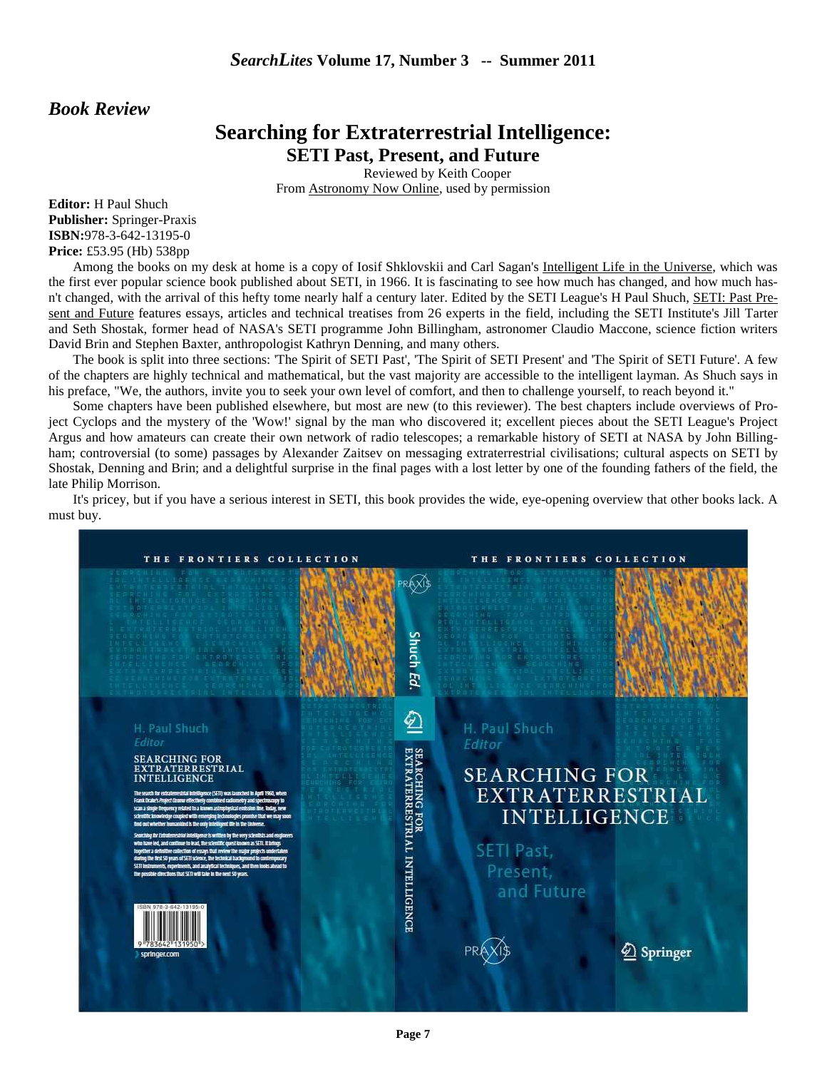#### *Book Review*

## **Searching for Extraterrestrial Intelligence: SETI Past, Present, and Future**

Reviewed by Keith Cooper From Astronomy Now Online, used by permission

**Editor:** H Paul Shuch **Publisher:** Springer-Praxis **ISBN:**978-3-642-13195-0 **Price:** £53.95 (Hb) 538pp

Among the books on my desk at home is a copy of Iosif Shklovskii and Carl Sagan's Intelligent Life in the Universe, which was the first ever popular science book published about SETI, in 1966. It is fascinating to see how much has changed, and how much hasn't changed, with the arrival of this hefty tome nearly half a century later. Edited by the SETI League's H Paul Shuch, SETI: Past Present and Future features essays, articles and technical treatises from 26 experts in the field, including the SETI Institute's Jill Tarter and Seth Shostak, former head of NASA's SETI programme John Billingham, astronomer Claudio Maccone, science fiction writers David Brin and Stephen Baxter, anthropologist Kathryn Denning, and many others.

The book is split into three sections: 'The Spirit of SETI Past', 'The Spirit of SETI Present' and 'The Spirit of SETI Future'. A few of the chapters are highly technical and mathematical, but the vast majority are accessible to the intelligent layman. As Shuch says in his preface, "We, the authors, invite you to seek your own level of comfort, and then to challenge yourself, to reach beyond it."

Some chapters have been published elsewhere, but most are new (to this reviewer). The best chapters include overviews of Project Cyclops and the mystery of the 'Wow!' signal by the man who discovered it; excellent pieces about the SETI League's Project Argus and how amateurs can create their own network of radio telescopes; a remarkable history of SETI at NASA by John Billingham; controversial (to some) passages by Alexander Zaitsev on messaging extraterrestrial civilisations; cultural aspects on SETI by Shostak, Denning and Brin; and a delightful surprise in the final pages with a lost letter by one of the founding fathers of the field, the late Philip Morrison.

It's pricey, but if you have a serious interest in SETI, this book provides the wide, eye-opening overview that other books lack. A must buy.